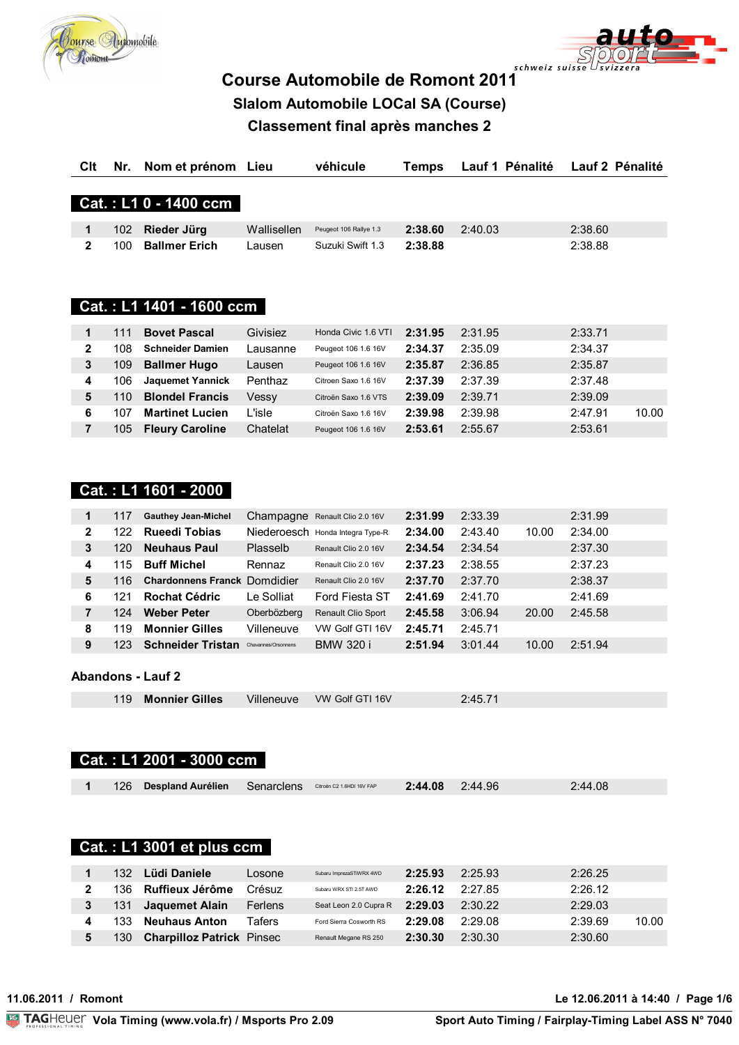



# Course Automobile de Romont 2011 Slalom Automobile LOCal SA (Course)

## **Classement final après manches 2**

| Clt            | Nr. | Nom et prénom Lieu                                 |                     | véhicule                         | <b>Temps</b> | Lauf 1 Pénalité |       | Lauf 2 Pénalité |       |
|----------------|-----|----------------------------------------------------|---------------------|----------------------------------|--------------|-----------------|-------|-----------------|-------|
|                |     |                                                    |                     |                                  |              |                 |       |                 |       |
|                |     | Cat.: L1 0 - 1400 ccm                              |                     |                                  |              |                 |       |                 |       |
| 1              | 102 | Rieder Jürg                                        | Wallisellen         | Peugeot 106 Rallye 1.3           | 2:38.60      | 2:40.03         |       | 2:38.60         |       |
| $\mathbf{2}$   | 100 | <b>Ballmer Erich</b>                               | Lausen              | Suzuki Swift 1.3                 | 2:38.88      |                 |       | 2:38.88         |       |
|                |     | Cat.: L1 1401 - 1600 ccm                           |                     |                                  |              |                 |       |                 |       |
| 1              | 111 | <b>Bovet Pascal</b>                                | Givisiez            | Honda Civic 1.6 VTI              | 2:31.95      | 2:31.95         |       | 2:33.71         |       |
| $\mathbf 2$    | 108 | <b>Schneider Damien</b>                            | Lausanne            | Peugeot 106 1.6 16V              | 2:34.37      | 2:35.09         |       | 2:34.37         |       |
| 3              | 109 | <b>Ballmer Hugo</b>                                | Lausen              | Peugeot 106 1.6 16V              | 2:35.87      | 2:36.85         |       | 2:35.87         |       |
| 4              | 106 | <b>Jaquemet Yannick</b>                            | Penthaz             | Citroen Saxo 1.6 16V             | 2:37.39      | 2:37.39         |       | 2:37.48         |       |
| 5              | 110 | <b>Blondel Francis</b>                             | Vessy               | Citroën Saxo 1.6 VTS             | 2:39.09      | 2:39.71         |       | 2:39.09         |       |
| 6              | 107 | <b>Martinet Lucien</b>                             | L'isle              | Citroën Saxo 1.6 16V             | 2:39.98      | 2:39.98         |       | 2:47.91         | 10.00 |
| $\overline{7}$ | 105 | <b>Fleury Caroline</b>                             | Chatelat            | Peugeot 106 1.6 16V              | 2:53.61      | 2:55.67         |       | 2:53.61         |       |
| 1              | 117 | Cat.: L1 1601 - 2000<br><b>Gauthey Jean-Michel</b> |                     | Champagne Renault Clio 2.0 16V   | 2:31.99      | 2:33.39         |       | 2:31.99         |       |
| 2              | 122 | <b>Rueedi Tobias</b>                               |                     | Niederoesch Honda Integra Type-R | 2:34.00      | 2:43.40         | 10.00 | 2:34.00         |       |
| $\mathbf{3}$   | 120 | <b>Neuhaus Paul</b>                                | Plasselb            | Renault Clio 2.0 16V             | 2:34.54      | 2:34.54         |       | 2:37.30         |       |
| 4              | 115 | <b>Buff Michel</b>                                 | Rennaz              | Renault Clio 2.0 16V             | 2:37.23      | 2:38.55         |       | 2:37.23         |       |
| 5              | 116 | <b>Chardonnens Franck Domdidier</b>                |                     | Renault Clio 2.0 16V             | 2:37.70      | 2:37.70         |       | 2:38.37         |       |
| 6              | 121 | <b>Rochat Cédric</b>                               | Le Solliat          | Ford Fiesta ST                   | 2:41.69      | 2:41.70         |       | 2:41.69         |       |
| $\overline{7}$ | 124 | <b>Weber Peter</b>                                 | Oberbözberg         | Renault Clio Sport               | 2:45.58      | 3:06.94         | 20.00 | 2:45.58         |       |
| 8              | 119 | <b>Monnier Gilles</b>                              | Villeneuve          | VW Golf GTI 16V                  | 2:45.71      | 2:45.71         |       |                 |       |
| 9              | 123 | <b>Schneider Tristan</b>                           | Chavannes/Orsonnens | <b>BMW 320 i</b>                 | 2:51.94      | 3:01.44         | 10.00 | 2:51.94         |       |
|                |     |                                                    |                     |                                  |              |                 |       |                 |       |
|                |     | <b>Abandons - Lauf 2</b>                           |                     |                                  |              |                 |       |                 |       |
|                | 119 | <b>Monnier Gilles</b>                              | Villeneuve          | VW Golf GTI 16V                  |              | 2:45.71         |       |                 |       |
|                |     | Cat.: L1 2001 - 3000 ccm                           |                     |                                  |              |                 |       |                 |       |
| 1              | 126 | <b>Despland Aurélien</b>                           | Senarclens          | Citroën C2 1.6HDI 16V FAP        | 2:44.08      | 2:44.96         |       | 2:44.08         |       |
|                |     | <b>Cat.: L1 3001 et plus ccm</b>                   |                     |                                  |              |                 |       |                 |       |
|                |     | 132 Lüdi Daniele                                   | Losone              | Subaru ImprezaSTiWRX 4WD         | 2:25.93      | 2:25.93         |       | 2:26.25         |       |

| ے در ا | - Ludi Daniele                   | LUSUILE | Suparu imprezas livvro. 400 D | Z.ZJ.JJ | 2.20.90 | 4.40.43 |       |
|--------|----------------------------------|---------|-------------------------------|---------|---------|---------|-------|
| 136.   | Ruffieux Jérôme                  | Crésuz  | Subaru WRX STI 2.5T AWD       | 2:26.12 | 2:27.85 | 2:26.12 |       |
| 131    | Jaquemet Alain                   | Ferlens | Seat Leon 2.0 Cupra R         | 2:29.03 | 2:30.22 | 2:29.03 |       |
| 133    | <b>Neuhaus Anton</b>             | Tafers  | Ford Sierra Cosworth RS       | 2:29.08 | 2:29.08 | 2:39.69 | 10.00 |
| 130    | <b>Charpilloz Patrick Pinsec</b> |         | Renault Megane RS 250         | 2:30.30 | 2:30.30 | 2:30.60 |       |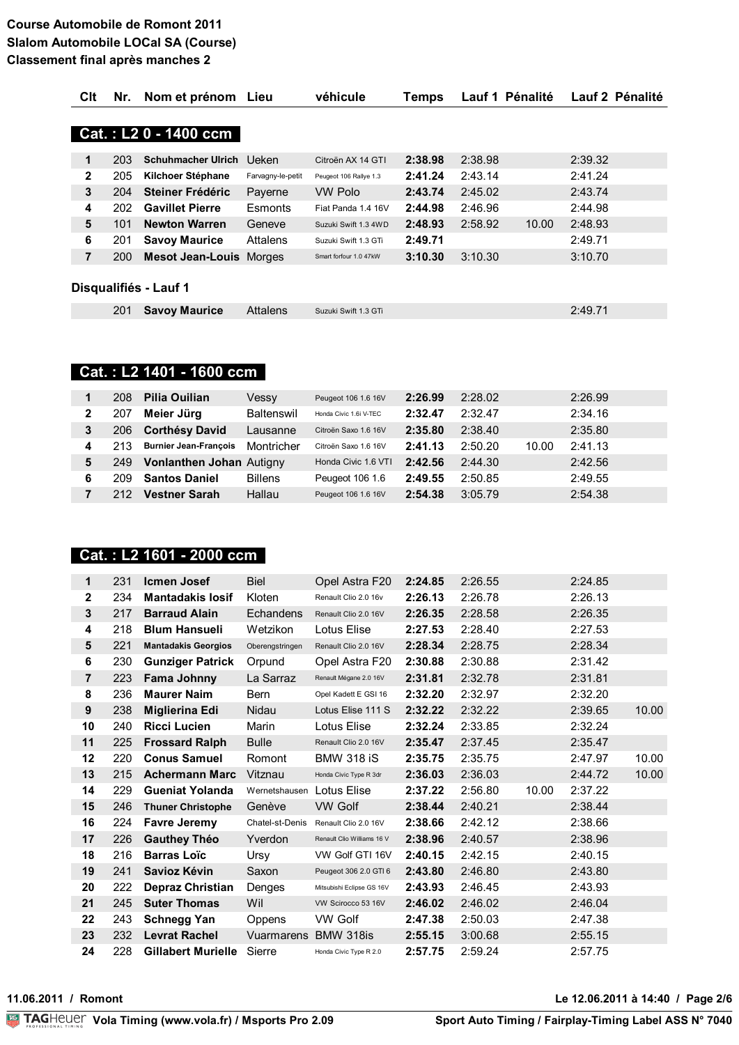| Clt          | Nr. | Nom et prénom                  | Lieu              | véhicule               | Temps   | Lauf 1 Pénalité |       |         | Lauf 2 Pénalité |
|--------------|-----|--------------------------------|-------------------|------------------------|---------|-----------------|-------|---------|-----------------|
|              |     |                                |                   |                        |         |                 |       |         |                 |
|              |     | Cat.: L2 0 - 1400 ccm          |                   |                        |         |                 |       |         |                 |
| 1            | 203 | <b>Schuhmacher Ulrich</b>      | Ueken             | Citroën AX 14 GTI      | 2:38.98 | 2:38.98         |       | 2:39.32 |                 |
| $\mathbf{2}$ | 205 | Kilchoer Stéphane              | Farvagny-le-petit | Peugeot 106 Rallye 1.3 | 2:41.24 | 2:43.14         |       | 2:41.24 |                 |
| 3            | 204 | Steiner Frédéric               | Payerne           | <b>VW Polo</b>         | 2:43.74 | 2:45.02         |       | 2:43.74 |                 |
| 4            | 202 | <b>Gavillet Pierre</b>         | Esmonts           | Fiat Panda 1.4 16V     | 2:44.98 | 2:46.96         |       | 2:44.98 |                 |
| 5            | 101 | <b>Newton Warren</b>           | Geneve            | Suzuki Swift 1.3 4WD   | 2:48.93 | 2:58.92         | 10.00 | 2:48.93 |                 |
| 6            | 201 | <b>Savoy Maurice</b>           | Attalens          | Suzuki Swift 1.3 GTi   | 2:49.71 |                 |       | 2:49.71 |                 |
| 7            | 200 | <b>Mesot Jean-Louis</b> Morges |                   | Smart forfour 1.0 47kW | 3:10.30 | 3:10.30         |       | 3:10.70 |                 |
|              |     |                                |                   |                        |         |                 |       |         |                 |
|              |     | Disqualifiés - Lauf 1          |                   |                        |         |                 |       |         |                 |
|              | 201 | <b>Savoy Maurice</b>           | Attalens          | Suzuki Swift 1.3 GTi   |         |                 |       | 2:49.71 |                 |

## Cat.: L2 1401 - 1600 ccm

|   | 208 | Pilia Ouilian                   | Vessy          | Peugeot 106 1.6 16V    | 2:26.99 | 2:28.02 |       | 2:26.99 |
|---|-----|---------------------------------|----------------|------------------------|---------|---------|-------|---------|
| 2 | 207 | Meier Jürg                      | Baltenswil     | Honda Civic 1.6i V-TFC | 2:32.47 | 2:32.47 |       | 2:34.16 |
| 3 | 206 | <b>Corthésy David</b>           | Lausanne       | Citroën Saxo 1.6 16V   | 2:35.80 | 2:38.40 |       | 2:35.80 |
| 4 | 213 | <b>Burnier Jean-François</b>    | Montricher     | Citroën Saxo 1.6 16V   | 2:41.13 | 2:50.20 | 10.00 | 2:41.13 |
| 5 | 249 | <b>Vonlanthen Johan Autigny</b> |                | Honda Civic 1.6 VTI    | 2:42.56 | 2:44.30 |       | 2:42.56 |
| 6 | 209 | <b>Santos Daniel</b>            | <b>Billens</b> | Peugeot 106 1.6        | 2:49.55 | 2:50.85 |       | 2:49.55 |
|   | 212 | <b>Vestner Sarah</b>            | Hallau         | Peugeot 106 1.6 16V    | 2:54.38 | 3:05.79 |       | 2:54.38 |

### Cat.: L2 1601 - 2000 ccm

| 231 | <b>Icmen Josef</b>         | <b>Biel</b>     | Opel Astra F20             | 2:24.85 | 2:26.55 |       | 2:24.85 |       |
|-----|----------------------------|-----------------|----------------------------|---------|---------|-------|---------|-------|
| 234 | <b>Mantadakis losif</b>    | Kloten          | Renault Clio 2.0 16v       | 2:26.13 | 2:26.78 |       | 2:26.13 |       |
| 217 | <b>Barraud Alain</b>       | Echandens       | Renault Clio 2.0 16V       | 2:26.35 | 2:28.58 |       | 2:26.35 |       |
| 218 | <b>Blum Hansueli</b>       | Wetzikon        | Lotus Elise                | 2:27.53 | 2:28.40 |       | 2:27.53 |       |
| 221 | <b>Mantadakis Georgios</b> | Oberengstringen | Renault Clio 2.0 16V       | 2:28.34 | 2:28.75 |       | 2:28.34 |       |
| 230 | <b>Gunziger Patrick</b>    | Orpund          | Opel Astra F20             | 2:30.88 | 2:30.88 |       | 2:31.42 |       |
| 223 | Fama Johnny                | La Sarraz       | Renault Mégane 2.0 16V     | 2:31.81 | 2:32.78 |       | 2:31.81 |       |
| 236 | <b>Maurer Naim</b>         | Bern            | Opel Kadett E GSI 16       | 2:32.20 | 2:32.97 |       | 2:32.20 |       |
| 238 | <b>Miglierina Edi</b>      | Nidau           | Lotus Elise 111 S          | 2:32.22 | 2:32.22 |       | 2:39.65 | 10.00 |
| 240 | <b>Ricci Lucien</b>        | Marin           | Lotus Elise                | 2:32.24 | 2:33.85 |       | 2:32.24 |       |
| 225 | <b>Frossard Ralph</b>      | <b>Bulle</b>    | Renault Clio 2.0 16V       | 2:35.47 | 2:37.45 |       | 2:35.47 |       |
| 220 | <b>Conus Samuel</b>        | Romont          | <b>BMW 318 iS</b>          | 2:35.75 | 2:35.75 |       | 2:47.97 | 10.00 |
| 215 | <b>Achermann Marc</b>      | Vitznau         | Honda Civic Type R 3dr     | 2:36.03 | 2:36.03 |       | 2:44.72 | 10.00 |
| 229 | <b>Gueniat Yolanda</b>     | Wernetshausen   | Lotus Elise                | 2:37.22 | 2:56.80 | 10.00 | 2:37.22 |       |
| 246 | <b>Thuner Christophe</b>   | Genève          | <b>VW Golf</b>             | 2:38.44 | 2:40.21 |       | 2:38.44 |       |
| 224 | <b>Favre Jeremy</b>        | Chatel-st-Denis | Renault Clio 2.0 16V       | 2:38.66 | 2:42.12 |       | 2:38.66 |       |
| 226 | <b>Gauthey Théo</b>        | Yverdon         | Renault Clio Williams 16 V | 2:38.96 | 2:40.57 |       | 2:38.96 |       |
| 216 | <b>Barras Loïc</b>         | Ursy            | VW Golf GTI 16V            | 2:40.15 | 2:42.15 |       | 2:40.15 |       |
| 241 | Savioz Kévin               | Saxon           | Peugeot 306 2.0 GTI 6      | 2:43.80 | 2:46.80 |       | 2:43.80 |       |
| 222 | <b>Depraz Christian</b>    | Denges          | Mitsubishi Eclipse GS 16V  | 2:43.93 | 2:46.45 |       | 2:43.93 |       |
| 245 | <b>Suter Thomas</b>        | Wil             | VW Scirocco 53 16V         | 2:46.02 | 2:46.02 |       | 2:46.04 |       |
| 243 | <b>Schnegg Yan</b>         | Oppens          | VW Golf                    | 2:47.38 | 2:50.03 |       | 2:47.38 |       |
| 232 | <b>Levrat Rachel</b>       | Vuarmarens      | <b>BMW 318is</b>           | 2:55.15 | 3:00.68 |       | 2:55.15 |       |
| 228 | <b>Gillabert Murielle</b>  | Sierre          | Honda Civic Type R 2.0     | 2:57.75 | 2:59.24 |       | 2:57.75 |       |
|     |                            |                 |                            |         |         |       |         |       |

11.06.2011 / Romont

Le 12.06.2011 à 14:40 / Page 2/6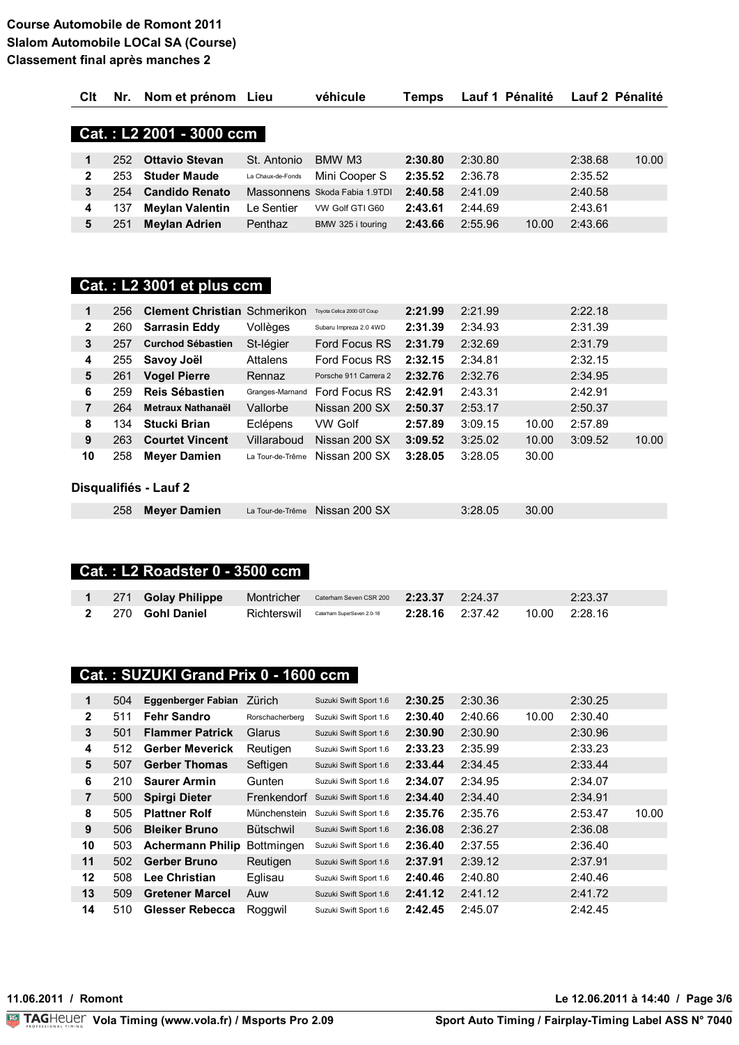| CIt          | Nr. | Nom et prénom            | Lieu              | véhicule                      | ⊺emps   | Lauf 1 Pénalité |       |         | Lauf 2 Pénalité |
|--------------|-----|--------------------------|-------------------|-------------------------------|---------|-----------------|-------|---------|-----------------|
|              |     |                          |                   |                               |         |                 |       |         |                 |
|              |     | Cat.: L2 2001 - 3000 ccm |                   |                               |         |                 |       |         |                 |
|              |     |                          |                   |                               |         |                 |       |         |                 |
| $\mathbf{1}$ | 252 | <b>Ottavio Stevan</b>    | St. Antonio       | BMW M3                        | 2:30.80 | 2:30.80         |       | 2:38.68 | 10.00           |
| $\mathbf{2}$ | 253 | <b>Studer Maude</b>      | La Chaux-de-Fonds | Mini Cooper S                 | 2:35.52 | 2:36.78         |       | 2:35.52 |                 |
| 3            | 254 | <b>Candido Renato</b>    |                   | Massonnens Skoda Fabia 1.9TDI | 2:40.58 | 2:41.09         |       | 2:40.58 |                 |
| 4            | 137 | <b>Meylan Valentin</b>   | ∟e Sentier        | VW Golf GTI G60               | 2:43.61 | 2:44.69         |       | 2:43.61 |                 |
| 5            | 251 | <b>Meylan Adrien</b>     | Penthaz           | BMW 325 i touring             | 2:43.66 | 2:55.96         | 10.00 | 2:43.66 |                 |
|              |     |                          |                   |                               |         |                 |       |         |                 |

## Cat.: L2 3001 et plus ccm

| 1            | 256 | <b>Clement Christian Schmerikon</b> |                  | Toyota Celica 2000 GT Coup | 2:21.99 | 2:21.99 |       | 2:22.18 |       |
|--------------|-----|-------------------------------------|------------------|----------------------------|---------|---------|-------|---------|-------|
| $\mathbf{2}$ | 260 | <b>Sarrasin Eddy</b>                | Vollèges         | Subaru Impreza 2.0 4WD     | 2:31.39 | 2:34.93 |       | 2:31.39 |       |
| 3            | 257 | <b>Curchod Sébastien</b>            | St-légier        | Ford Focus RS              | 2:31.79 | 2:32.69 |       | 2:31.79 |       |
| 4            | 255 | Savoy Joël                          | Attalens         | Ford Focus RS              | 2:32.15 | 2:34.81 |       | 2:32.15 |       |
| 5            | 261 | <b>Vogel Pierre</b>                 | Rennaz           | Porsche 911 Carrera 2      | 2:32.76 | 2:32.76 |       | 2:34.95 |       |
| 6            | 259 | Reis Sébastien                      | Granges-Marnand  | Ford Focus RS              | 2:42.91 | 2:43.31 |       | 2:42.91 |       |
| 7            | 264 | Metraux Nathanaël                   | Vallorbe         | Nissan 200 SX              | 2:50.37 | 2:53.17 |       | 2:50.37 |       |
| 8            | 134 | <b>Stucki Brian</b>                 | Eclépens         | <b>VW Golf</b>             | 2:57.89 | 3:09.15 | 10.00 | 2:57.89 |       |
| 9            | 263 | <b>Courtet Vincent</b>              | Villaraboud      | Nissan 200 SX              | 3:09.52 | 3:25.02 | 10.00 | 3:09.52 | 10.00 |
| 10           | 258 | <b>Meyer Damien</b>                 | La Tour-de-Trême | Nissan 200 SX              | 3:28.05 | 3:28.05 | 30.00 |         |       |
|              |     |                                     |                  |                            |         |         |       |         |       |
|              |     | Disqualifiés - Lauf 2               |                  |                            |         |         |       |         |       |
|              | 258 | <b>Mever Damien</b>                 | La Tour-de-Trême | Nissan 200 SX              |         | 3:28.05 | 30.00 |         |       |

## Cat.: L2 Roadster 0 - 3500 ccm

|  | 1 271 Golay Philippe Montricher Caterham Seven CSR 200 2:23.37 2:24.37 |                                                                      |  | 2:23.37 |
|--|------------------------------------------------------------------------|----------------------------------------------------------------------|--|---------|
|  | 2 270 Gohl Daniel                                                      | Richterswil Caterham SuperSeven 2.0-16 2:28.16 2:37.42 10.00 2:28.16 |  |         |

## Cat.: SUZUKI Grand Prix 0 - 1600 ccm

| 1            | 504 | Eggenberger Fabian      | Zürich            | Suzuki Swift Sport 1.6 | 2:30.25 | 2:30.36 |       | 2:30.25 |       |
|--------------|-----|-------------------------|-------------------|------------------------|---------|---------|-------|---------|-------|
| $\mathbf{2}$ | 511 | <b>Fehr Sandro</b>      | Rorschacherberg   | Suzuki Swift Sport 1.6 | 2:30.40 | 2:40.66 | 10.00 | 2:30.40 |       |
| 3            | 501 | <b>Flammer Patrick</b>  | Glarus            | Suzuki Swift Sport 1.6 | 2:30.90 | 2:30.90 |       | 2:30.96 |       |
| 4            | 512 | <b>Gerber Meverick</b>  | Reutigen          | Suzuki Swift Sport 1.6 | 2:33.23 | 2:35.99 |       | 2:33.23 |       |
| 5            | 507 | <b>Gerber Thomas</b>    | Seftigen          | Suzuki Swift Sport 1.6 | 2:33.44 | 2:34.45 |       | 2:33.44 |       |
| 6            | 210 | <b>Saurer Armin</b>     | Gunten            | Suzuki Swift Sport 1.6 | 2:34.07 | 2:34.95 |       | 2:34.07 |       |
| 7            | 500 | <b>Spirgi Dieter</b>    | Frenkendorf       | Suzuki Swift Sport 1.6 | 2:34.40 | 2:34.40 |       | 2:34.91 |       |
| 8            | 505 | <b>Plattner Rolf</b>    | Münchenstein      | Suzuki Swift Sport 1.6 | 2:35.76 | 2:35.76 |       | 2:53.47 | 10.00 |
| 9            | 506 | <b>Bleiker Bruno</b>    | <b>Bütschwil</b>  | Suzuki Swift Sport 1.6 | 2:36.08 | 2:36.27 |       | 2:36.08 |       |
| 10           | 503 | <b>Achermann Philip</b> | <b>Bottmingen</b> | Suzuki Swift Sport 1.6 | 2:36.40 | 2:37.55 |       | 2:36.40 |       |
| 11           | 502 | <b>Gerber Bruno</b>     | Reutigen          | Suzuki Swift Sport 1.6 | 2:37.91 | 2:39.12 |       | 2:37.91 |       |
| 12           | 508 | <b>Lee Christian</b>    | Eglisau           | Suzuki Swift Sport 1.6 | 2:40.46 | 2:40.80 |       | 2:40.46 |       |
| 13           | 509 | <b>Gretener Marcel</b>  | Auw               | Suzuki Swift Sport 1.6 | 2:41.12 | 2:41.12 |       | 2:41.72 |       |
| 14           | 510 | Glesser Rebecca         | Roggwil           | Suzuki Swift Sport 1.6 | 2:42.45 | 2:45.07 |       | 2:42.45 |       |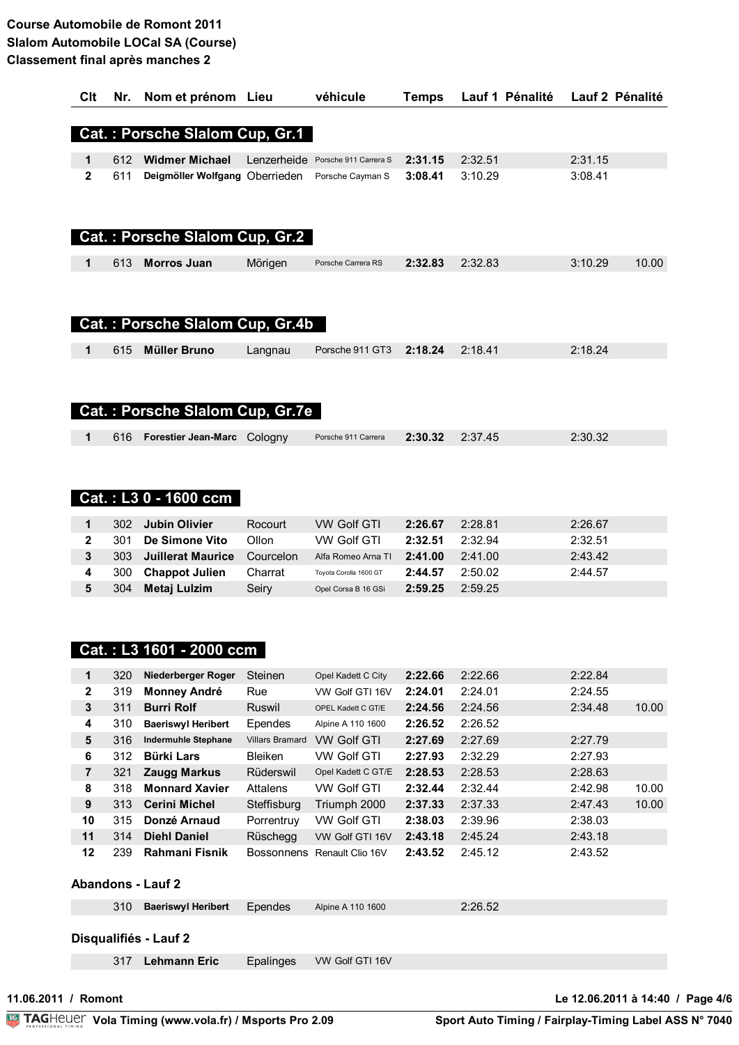| Clt            | Nr. | Nom et prénom Lieu                     |                        | véhicule               | <b>Temps</b> | Lauf 1 Pénalité | Lauf 2 Pénalité |       |
|----------------|-----|----------------------------------------|------------------------|------------------------|--------------|-----------------|-----------------|-------|
|                |     |                                        |                        |                        |              |                 |                 |       |
|                |     | Cat.: Porsche Slalom Cup, Gr.1         |                        |                        |              |                 |                 |       |
|                |     |                                        |                        |                        |              |                 |                 |       |
| 1              | 612 | <b>Widmer Michael</b>                  | Lenzerheide            | Porsche 911 Carrera S  | 2:31.15      | 2:32.51         | 2:31.15         |       |
| $\overline{2}$ | 611 | Deigmöller Wolfgang Oberrieden         |                        | Porsche Cayman S       | 3:08.41      | 3:10.29         | 3:08.41         |       |
|                |     | Cat.: Porsche Slalom Cup, Gr.2         |                        |                        |              |                 |                 |       |
| 1              | 613 | <b>Morros Juan</b>                     | Mörigen                | Porsche Carrera RS     | 2:32.83      | 2:32.83         | 3:10.29         | 10.00 |
|                |     |                                        |                        |                        |              |                 |                 |       |
|                |     | Cat.: Porsche Slalom Cup, Gr.4b        |                        |                        |              |                 |                 |       |
| 1              | 615 | <b>Müller Bruno</b>                    | Langnau                | Porsche 911 GT3        | 2:18.24      | 2:18.41         | 2:18.24         |       |
|                |     | <b>Cat.: Porsche Slalom Cup, Gr.7e</b> |                        |                        |              |                 |                 |       |
| 1              | 616 | Forestier Jean-Marc Cologny            |                        | Porsche 911 Carrera    | 2:30.32      | 2:37.45         | 2:30.32         |       |
|                |     | Cat.: L3 0 - 1600 ccm                  |                        |                        |              |                 |                 |       |
| 1              | 302 | <b>Jubin Olivier</b>                   | Rocourt                | <b>VW Golf GTI</b>     | 2:26.67      | 2:28.81         | 2:26.67         |       |
| $\mathbf{2}$   | 301 | De Simone Vito                         | Ollon                  | <b>VW Golf GTI</b>     | 2:32.51      | 2:32.94         | 2:32.51         |       |
| 3              | 303 | <b>Juillerat Maurice</b>               | Courcelon              | Alfa Romeo Arna TI     | 2:41.00      | 2:41.00         | 2:43.42         |       |
| 4              | 300 | <b>Chappot Julien</b>                  | Charrat                | Toyota Corolla 1600 GT | 2:44.57      | 2:50.02         | 2:44.57         |       |
| 5              | 304 | <b>Metaj Lulzim</b>                    | Seiry                  | Opel Corsa B 16 GSi    | 2:59.25      | 2:59.25         |                 |       |
|                |     | Cat.: L3 1601 - 2000 ccm               |                        |                        |              |                 |                 |       |
| 1              | 320 | Niederberger Roger                     | Steinen                | Opel Kadett C City     | 2:22.66      | 2:22.66         | 2:22.84         |       |
| 2              | 319 | <b>Monney André</b>                    | Rue                    | VW Golf GTI 16V        | 2:24.01      | 2:24.01         | 2:24.55         |       |
| 3              | 311 | <b>Burri Rolf</b>                      | Ruswil                 | OPEL Kadett C GT/E     | 2:24.56      | 2:24.56         | 2:34.48         | 10.00 |
| 4              | 310 | <b>Baeriswyl Heribert</b>              | Ependes                | Alpine A 110 1600      | 2:26.52      | 2:26.52         |                 |       |
| 5              | 316 | <b>Indermuhle Stephane</b>             | <b>Villars Bramard</b> | <b>VW Golf GTI</b>     | 2:27.69      | 2:27.69         | 2:27.79         |       |
|                |     |                                        |                        |                        |              |                 |                 |       |

| 6  | 312 | <b>Bürki Lars</b>     | <b>Bleiken</b> | VW Golf GTI                 | 2:27.93 | 2:32.29 | 2:27.93 |       |
|----|-----|-----------------------|----------------|-----------------------------|---------|---------|---------|-------|
| 7  | 321 | Zaugg Markus          | Rüderswil      | Opel Kadett C GT/E          | 2:28.53 | 2:28.53 | 2:28.63 |       |
| 8  | 318 | <b>Monnard Xavier</b> | Attalens       | VW Golf GTI                 | 2:32.44 | 2:32.44 | 2:42.98 | 10.00 |
| 9  | 313 | <b>Cerini Michel</b>  | Steffisburg    | Triumph 2000                | 2:37.33 | 2:37.33 | 2:47.43 | 10.00 |
| 10 | 315 | Donzé Arnaud          | Porrentruy     | <b>VW Golf GTI</b>          | 2:38.03 | 2:39.96 | 2:38.03 |       |
| 11 | 314 | <b>Diehl Daniel</b>   | Rüschegg       | VW Golf GTI 16V             | 2:43.18 | 2:45.24 | 2:43.18 |       |
| 12 | 239 | Rahmani Fisnik        |                | Bossonnens Renault Clio 16V | 2:43.52 | 2:45.12 | 2:43.52 |       |
|    |     |                       |                |                             |         |         |         |       |
|    |     |                       |                |                             |         |         |         |       |

#### **Abandons - Lauf 2**

|  | 310 Baeriswyl Heribert Ependes Alpine A 110 1600 |  | 2:26.52 |  |
|--|--------------------------------------------------|--|---------|--|
|  |                                                  |  |         |  |

### Disqualifiés - Lauf 2

317 Lehmann Eric Epalinges VW Golf GTI 16V

Le 12.06.2011 à 14:40 / Page 4/6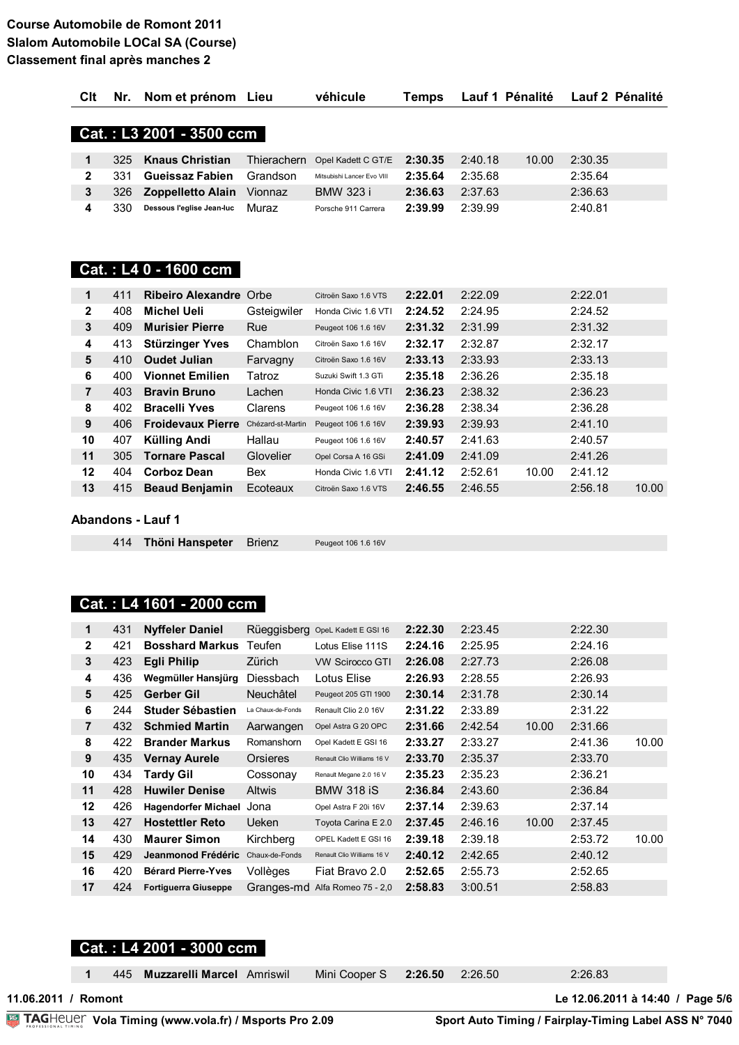| Clt              | Nr. | Nom et prénom Lieu            |                   | véhicule                   | Temps   | Lauf 1 Pénalité |       |         | Lauf 2 Pénalité |
|------------------|-----|-------------------------------|-------------------|----------------------------|---------|-----------------|-------|---------|-----------------|
|                  |     |                               |                   |                            |         |                 |       |         |                 |
|                  |     | Cat.: L3 2001 - 3500 ccm      |                   |                            |         |                 |       |         |                 |
|                  |     |                               |                   |                            |         |                 |       |         |                 |
| 1                | 325 | <b>Knaus Christian</b>        | Thierachern       | Opel Kadett C GT/E         | 2:30.35 | 2:40.18         | 10.00 | 2:30.35 |                 |
| $\mathbf{2}$     | 331 | <b>Gueissaz Fabien</b>        | Grandson          | Mitsubishi Lancer Evo VIII | 2:35.64 | 2:35.68         |       | 2:35.64 |                 |
| $\mathbf 3$      | 326 | <b>Zoppelletto Alain</b>      | Vionnaz           | <b>BMW 323 i</b>           | 2:36.63 | 2:37.63         |       | 2:36.63 |                 |
| 4                | 330 | Dessous l'eglise Jean-luc     | Muraz             | Porsche 911 Carrera        | 2:39.99 | 2:39.99         |       | 2:40.81 |                 |
|                  |     |                               |                   |                            |         |                 |       |         |                 |
|                  |     |                               |                   |                            |         |                 |       |         |                 |
|                  |     |                               |                   |                            |         |                 |       |         |                 |
|                  |     | Cat.: L4 0 - 1600 ccm         |                   |                            |         |                 |       |         |                 |
|                  |     |                               |                   |                            |         |                 |       |         |                 |
| 1                | 411 | <b>Ribeiro Alexandre Orbe</b> |                   | Citroën Saxo 1.6 VTS       | 2:22.01 | 2:22.09         |       | 2:22.01 |                 |
| $\mathbf{2}$     | 408 | <b>Michel Ueli</b>            | Gsteigwiler       | Honda Civic 1.6 VTI        | 2:24.52 | 2:24.95         |       | 2:24.52 |                 |
| 3                | 409 | <b>Murisier Pierre</b>        | Rue               | Peugeot 106 1.6 16V        | 2:31.32 | 2:31.99         |       | 2:31.32 |                 |
| 4                | 413 | <b>Stürzinger Yves</b>        | Chamblon          | Citroën Saxo 1.6 16V       | 2:32.17 | 2:32.87         |       | 2:32.17 |                 |
| 5                | 410 | <b>Oudet Julian</b>           | Farvagny          | Citroën Saxo 1.6 16V       | 2:33.13 | 2:33.93         |       | 2:33.13 |                 |
| 6                | 400 | <b>Vionnet Emilien</b>        | Tatroz            | Suzuki Swift 1.3 GTi       | 2:35.18 | 2:36.26         |       | 2:35.18 |                 |
| 7                | 403 | <b>Bravin Bruno</b>           | Lachen            | Honda Civic 1.6 VTI        | 2:36.23 | 2:38.32         |       | 2:36.23 |                 |
| 8                | 402 | <b>Bracelli Yves</b>          | Clarens           | Peugeot 106 1.6 16V        | 2:36.28 | 2:38.34         |       | 2:36.28 |                 |
| $\boldsymbol{9}$ | 406 | <b>Froidevaux Pierre</b>      | Chézard-st-Martin | Peugeot 106 1.6 16V        | 2:39.93 | 2:39.93         |       | 2:41.10 |                 |
| 10               | 407 | Külling Andi                  | Hallau            | Peugeot 106 1.6 16V        | 2:40.57 | 2:41.63         |       | 2:40.57 |                 |
| 11               | 305 | <b>Tornare Pascal</b>         | Glovelier         | Opel Corsa A 16 GSi        | 2:41.09 | 2:41.09         |       | 2:41.26 |                 |
| 12               | 404 | <b>Corboz Dean</b>            | <b>Bex</b>        | Honda Civic 1.6 VTI        | 2:41.12 | 2:52.61         | 10.00 | 2:41.12 |                 |
| 13               | 415 | <b>Beaud Benjamin</b>         | Ecoteaux          | Citroën Saxo 1.6 VTS       | 2:46.55 | 2:46.55         |       | 2:56.18 | 10.00           |

#### **Abandons - Lauf 1**

414 Thöni Hanspeter Brienz

## Peugeot 106 1.6 16V

#### Cat.: L4 1601 - 2000 ccm

| 1              | 431 | <b>Nyffeler Daniel</b>      | Rüeggisberg       | OpeL Kadett E GSI 16       | 2:22.30 | 2:23.45 |       | 2:22.30 |       |
|----------------|-----|-----------------------------|-------------------|----------------------------|---------|---------|-------|---------|-------|
| $\mathbf{2}$   | 421 | <b>Bosshard Markus</b>      | Teufen            | Lotus Elise 111S           | 2:24.16 | 2:25.95 |       | 2:24.16 |       |
| 3              | 423 | <b>Egli Philip</b>          | Zürich            | <b>VW Scirocco GTI</b>     | 2:26.08 | 2:27.73 |       | 2:26.08 |       |
| 4              | 436 | Wegmüller Hansjürg          | Diessbach         | Lotus Elise                | 2:26.93 | 2:28.55 |       | 2:26.93 |       |
| 5              | 425 | <b>Gerber Gil</b>           | <b>Neuchâtel</b>  | Peugeot 205 GTI 1900       | 2:30.14 | 2:31.78 |       | 2:30.14 |       |
| 6              | 244 | <b>Studer Sébastien</b>     | La Chaux-de-Fonds | Renault Clio 2.0 16V       | 2:31.22 | 2:33.89 |       | 2:31.22 |       |
| $\overline{7}$ | 432 | <b>Schmied Martin</b>       | Aarwangen         | Opel Astra G 20 OPC        | 2:31.66 | 2:42.54 | 10.00 | 2:31.66 |       |
| 8              | 422 | <b>Brander Markus</b>       | Romanshorn        | Opel Kadett E GSI 16       | 2:33.27 | 2:33.27 |       | 2:41.36 | 10.00 |
| 9              | 435 | <b>Vernay Aurele</b>        | Orsieres          | Renault Clio Williams 16 V | 2:33.70 | 2:35.37 |       | 2:33.70 |       |
| 10             | 434 | Tardy Gil                   | Cossonay          | Renault Megane 2.0 16 V    | 2:35.23 | 2:35.23 |       | 2:36.21 |       |
| 11             | 428 | <b>Huwiler Denise</b>       | <b>Altwis</b>     | <b>BMW 318 iS</b>          | 2:36.84 | 2:43.60 |       | 2:36.84 |       |
| 12             | 426 | <b>Hagendorfer Michael</b>  | Jona              | Opel Astra F 20i 16V       | 2:37.14 | 2:39.63 |       | 2:37.14 |       |
| 13             | 427 | <b>Hostettler Reto</b>      | Ueken             | Toyota Carina E 2.0        | 2:37.45 | 2:46.16 | 10.00 | 2:37.45 |       |
| 14             | 430 | <b>Maurer Simon</b>         | Kirchberg         | OPEL Kadett E GSI 16       | 2:39.18 | 2:39.18 |       | 2:53.72 | 10.00 |
| 15             | 429 | Jeanmonod Frédéric          | Chaux-de-Fonds    | Renault Clio Williams 16 V | 2:40.12 | 2:42.65 |       | 2:40.12 |       |
| 16             | 420 | <b>Bérard Pierre-Yves</b>   | Vollèges          | Fiat Bravo 2.0             | 2:52.65 | 2:55.73 |       | 2:52.65 |       |
| 17             | 424 | <b>Fortiguerra Giuseppe</b> | Granges-md        | Alfa Romeo 75 - 2,0        | 2:58.83 | 3:00.51 |       | 2:58.83 |       |

Mini Cooper S

 $2:26.50$ 

 $2:26.50$ 

### Cat.: L4 2001 - 3000 ccm

445 Muzzarelli Marcel Amriswil

 $\mathbf{1}$ 11.06.2011 / Romont

Le 12.06.2011 à 14:40 / Page 5/6

2:26.83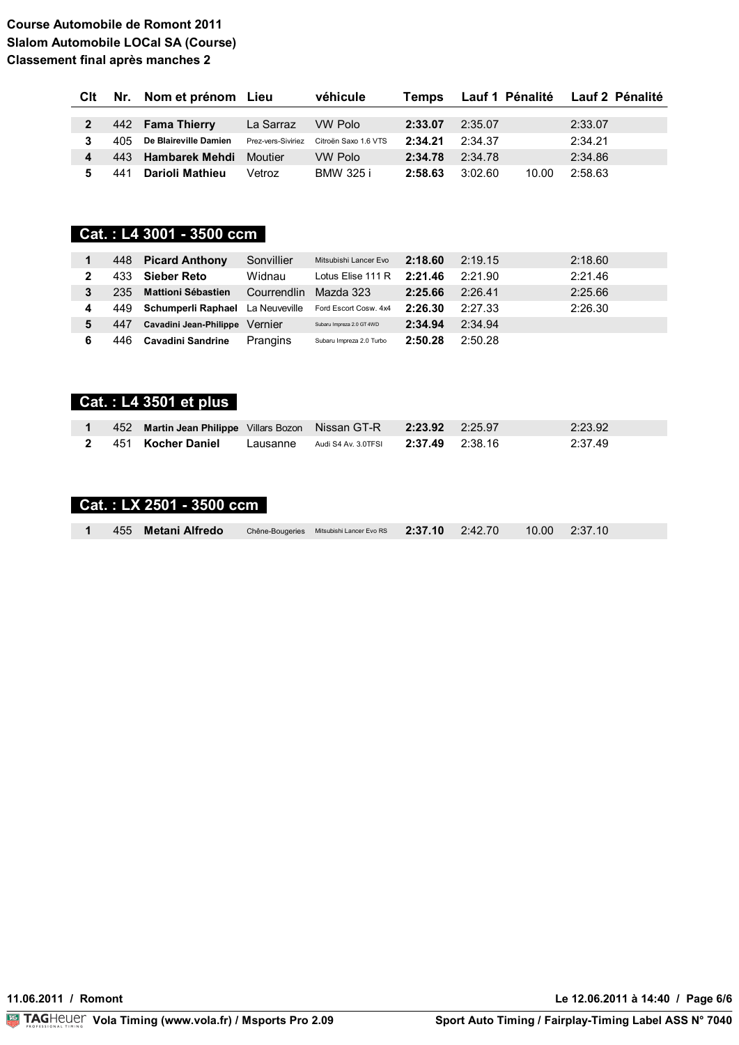| <b>C</b> lt |     | Nr. Nom et prénom Lieu     |                    | véhicule             | Temps   |         |       | Lauf 1 Pénalité Lauf 2 Pénalité |
|-------------|-----|----------------------------|--------------------|----------------------|---------|---------|-------|---------------------------------|
|             |     |                            |                    |                      |         |         |       |                                 |
|             |     | 442 Fama Thierry           | La Sarraz          | VW Polo              | 2:33.07 | 2:35.07 |       | 2:33.07                         |
|             | 405 | De Blaireville Damien      | Prez-vers-Siviriez | Citroën Saxo 1.6 VTS | 2:34.21 | 2:34.37 |       | 2:34.21                         |
| 4           |     | 443 Hambarek Mehdi Moutier |                    | <b>VW Polo</b>       | 2:34.78 | 2:34.78 |       | 2:34.86                         |
| 5.          | 441 | Darioli Mathieu            | Vetroz             | <b>BMW 325 i</b>     | 2:58.63 | 3:02.60 | 10.00 | 2:58.63                         |

### Cat.: L4 3001 - 3500 ccm

|   | 448  | <b>Picard Anthony</b>                   | Sonvillier  | Mitsubishi Lancer Evo     | 2:18.60 | 2:19.15 | 2:18.60 |
|---|------|-----------------------------------------|-------------|---------------------------|---------|---------|---------|
|   | 433  | <b>Sieber Reto</b>                      | Widnau      | Lotus Elise 111 R         | 2:21.46 | 2:21.90 | 2:21.46 |
|   | 235  | <b>Mattioni Sébastien</b>               | Courrendlin | Mazda 323                 | 2:25.66 | 2:26.41 | 2:25.66 |
| 4 | 449. | <b>Schumperli Raphael</b> La Neuveville |             | Ford Escort Cosw. 4x4     | 2:26.30 | 2:27.33 | 2:26.30 |
| 5 | 447  | Cavadini Jean-Philippe Vernier          |             | Subaru Impreza 2.0 GT 4WD | 2:34.94 | 2:34.94 |         |
| 6 | 446  | <b>Cavadini Sandrine</b>                | Prangins    | Subaru Impreza 2.0 Turbo  | 2:50.28 | 2:50.28 |         |

## Cat.: L4 3501 et plus

|  | 452 Martin Jean Philippe Villars Bozon Nissan GT-R 2:23.92 2:25.97 |                                                  |  | 2:23.92 |
|--|--------------------------------------------------------------------|--------------------------------------------------|--|---------|
|  | 2 451 Kocher Daniel                                                | Lausanne Audi S4 Av. 3.0TFSI $2:37.49$ $2:38.16$ |  | 2:37.49 |

## Cat.: LX 2501 - 3500 ccm

| 1 455 Metani Alfredo | Chêne-Bougeries Mitsubishi Lancer Evo RS $2.37.10$ $2.42.70$ $10.00$ $2.37.10$ |
|----------------------|--------------------------------------------------------------------------------|
|----------------------|--------------------------------------------------------------------------------|

Le 12.06.2011 à 14:40 / Page 6/6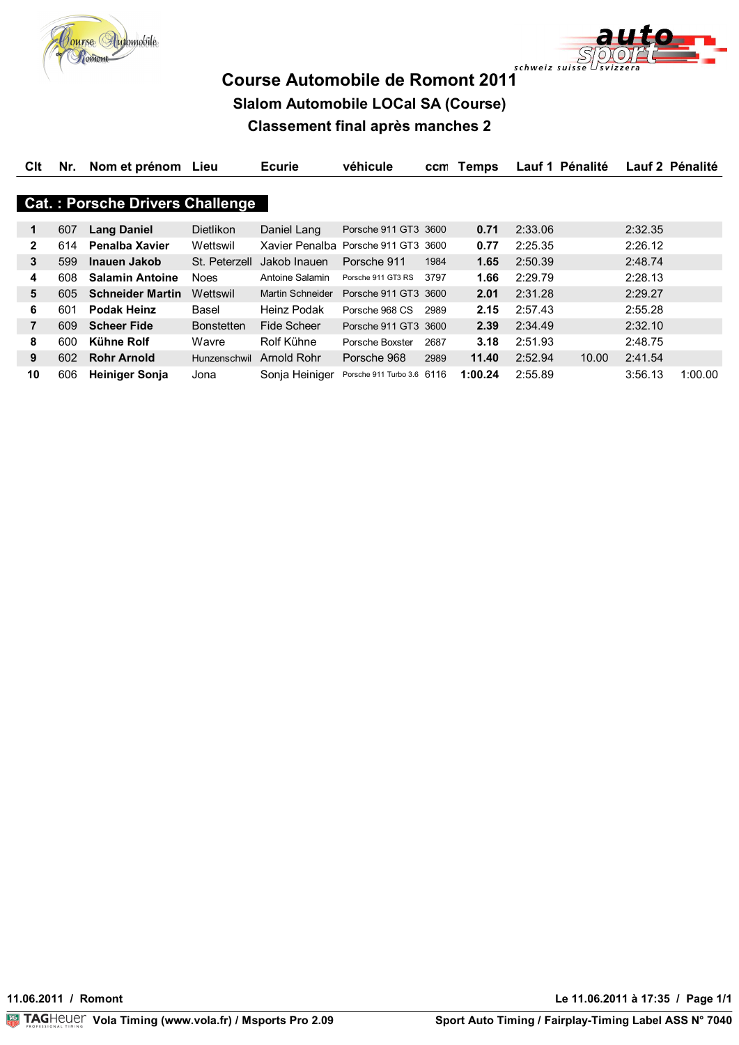



| Clt          | Nr. | Nom et prénom Lieu                     |                   | <b>Ecurie</b>           | véhicule                   | ccm  | Temps   | Lauf 1 Pénalité |                  | Lauf 2 Pénalité |
|--------------|-----|----------------------------------------|-------------------|-------------------------|----------------------------|------|---------|-----------------|------------------|-----------------|
|              |     |                                        |                   |                         |                            |      |         |                 |                  |                 |
|              |     | <b>Cat.: Porsche Drivers Challenge</b> |                   |                         |                            |      |         |                 |                  |                 |
|              |     |                                        |                   |                         | Porsche 911 GT3 3600       |      | 0.71    | 2:33.06         | 2:32.35          |                 |
| 1            | 607 | <b>Lang Daniel</b>                     | <b>Dietlikon</b>  | Daniel Lang             |                            |      |         |                 |                  |                 |
| $\mathbf{2}$ | 614 | Penalba Xavier                         | Wettswil          | Xavier Penalba          | Porsche 911 GT3 3600       |      | 0.77    | 2:25.35         | 2:26.12          |                 |
| 3            | 599 | Inauen Jakob                           | St. Peterzell     | Jakob Inauen            | Porsche 911                | 1984 | 1.65    | 2:50.39         | 2:48.74          |                 |
| 4            | 608 | <b>Salamin Antoine</b>                 | <b>Noes</b>       | Antoine Salamin         | Porsche 911 GT3 RS         | 3797 | 1.66    | 2:29.79         | 2:28.13          |                 |
| 5            | 605 | <b>Schneider Martin</b>                | Wettswil          | <b>Martin Schneider</b> | Porsche 911 GT3 3600       |      | 2.01    | 2:31.28         | 2:29.27          |                 |
| 6            | 601 | <b>Podak Heinz</b>                     | Basel             | Heinz Podak             | Porsche 968 CS             | 2989 | 2.15    | 2:57.43         | 2:55.28          |                 |
| 7            | 609 | <b>Scheer Fide</b>                     | <b>Bonstetten</b> | Fide Scheer             | Porsche 911 GT3 3600       |      | 2.39    | 2:34.49         | 2:32.10          |                 |
| 8            | 600 | Kühne Rolf                             | Wavre             | Rolf Kühne              | Porsche Boxster            | 2687 | 3.18    | 2:51.93         | 2:48.75          |                 |
| 9            | 602 | <b>Rohr Arnold</b>                     | Hunzenschwil      | Arnold Rohr             | Porsche 968                | 2989 | 11.40   | 2:52.94         | 2:41.54<br>10.00 |                 |
| 10           | 606 | <b>Heiniger Sonja</b>                  | Jona              | Sonja Heiniger          | Porsche 911 Turbo 3.6 6116 |      | 1:00.24 | 2:55.89         | 3:56.13          | 1:00.00         |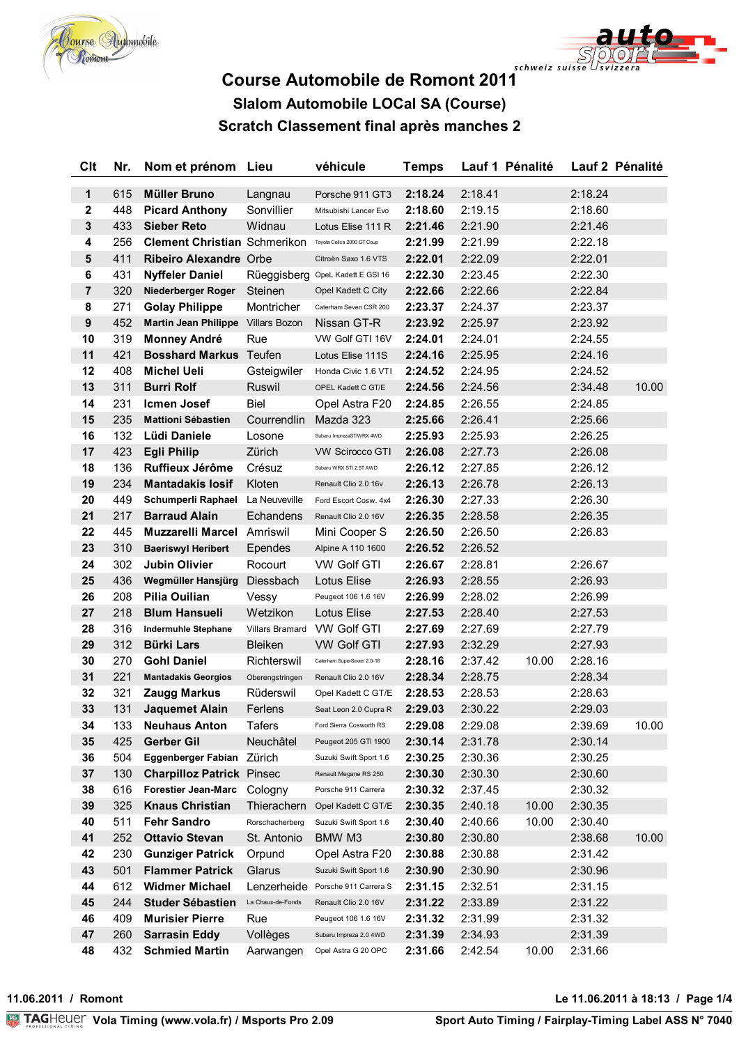



| <b>Clt</b>       | Nr.        | Nom et prénom Lieu                                             |                        | véhicule                                        | <b>Temps</b>       |                    | Lauf 1 Pénalité |                    | Lauf 2 Pénalité |
|------------------|------------|----------------------------------------------------------------|------------------------|-------------------------------------------------|--------------------|--------------------|-----------------|--------------------|-----------------|
| $\mathbf 1$      | 615        | <b>Müller Bruno</b>                                            | Langnau                | Porsche 911 GT3                                 | 2:18.24            | 2:18.41            |                 | 2:18.24            |                 |
| $\boldsymbol{2}$ | 448        | <b>Picard Anthony</b>                                          | Sonvillier             | Mitsubishi Lancer Evo                           | 2:18.60            | 2:19.15            |                 | 2:18.60            |                 |
| $\mathbf 3$      | 433        | <b>Sieber Reto</b>                                             | Widnau                 | Lotus Elise 111 R                               | 2:21.46            | 2:21.90            |                 | 2:21.46            |                 |
| 4                | 256        | <b>Clement Christian Schmerikon</b>                            |                        | Toyota Celica 2000 GT Coup                      | 2:21.99            | 2:21.99            |                 | 2:22.18            |                 |
| ${\bf 5}$        | 411        | Ribeiro Alexandre Orbe                                         |                        | Citroën Saxo 1.6 VTS                            | 2:22.01            | 2:22.09            |                 | 2:22.01            |                 |
| 6                | 431        | <b>Nyffeler Daniel</b>                                         |                        | Rüeggisberg OpeL Kadett E GSI 16                | 2:22.30            | 2:23.45            |                 | 2:22.30            |                 |
| $\overline{7}$   | 320        | Niederberger Roger                                             | Steinen                | Opel Kadett C City                              | 2:22.66            | 2:22.66            |                 | 2:22.84            |                 |
| 8                | 271        | <b>Golay Philippe</b>                                          | Montricher             | Caterham Seven CSR 200                          | 2:23.37            | 2:24.37            |                 | 2:23.37            |                 |
| $\boldsymbol{9}$ | 452        | <b>Martin Jean Philippe</b>                                    | <b>Villars Bozon</b>   | Nissan GT-R                                     | 2:23.92            | 2:25.97            |                 | 2:23.92            |                 |
| 10               | 319        | <b>Monney André</b>                                            | Rue                    | VW Golf GTI 16V                                 | 2:24.01            | 2:24.01            |                 | 2:24.55            |                 |
| 11               | 421        | <b>Bosshard Markus</b>                                         | Teufen                 | Lotus Elise 111S                                | 2:24.16            | 2:25.95            |                 | 2:24.16            |                 |
| 12               | 408        | <b>Michel Ueli</b>                                             | Gsteigwiler            | Honda Civic 1.6 VTI                             | 2:24.52            | 2:24.95            |                 | 2:24.52            |                 |
| 13               | 311        | <b>Burri Rolf</b>                                              | Ruswil                 | OPEL Kadett C GT/E                              | 2:24.56            | 2:24.56            |                 | 2:34.48            | 10.00           |
| 14               | 231        | <b>Icmen Josef</b>                                             | Biel                   | Opel Astra F20                                  | 2:24.85            | 2:26.55            |                 | 2:24.85            |                 |
| 15               | 235        | <b>Mattioni Sébastien</b>                                      | Courrendlin            | Mazda 323                                       | 2:25.66            | 2:26.41            |                 | 2:25.66            |                 |
| 16               | 132        | Lüdi Daniele                                                   | Losone                 | Subaru ImprezaSTiWRX 4WD                        | 2:25.93            | 2:25.93            |                 | 2:26.25            |                 |
| 17               | 423        | <b>Egli Philip</b>                                             | Zürich                 | <b>VW Scirocco GTI</b>                          | 2:26.08            | 2:27.73            |                 | 2:26.08            |                 |
| 18               | 136        | Ruffieux Jérôme                                                | Crésuz                 | Subaru WRX STI 2.5T AWD                         | 2:26.12            | 2:27.85            |                 | 2:26.12            |                 |
| 19               | 234        | <b>Mantadakis losif</b>                                        | Kloten                 | Renault Clio 2.0 16v                            | 2:26.13            | 2:26.78            |                 | 2:26.13            |                 |
| 20               | 449        | Schumperli Raphael                                             | La Neuveville          | Ford Escort Cosw. 4x4                           | 2:26.30            | 2:27.33            |                 | 2:26.30            |                 |
| 21               | 217        | <b>Barraud Alain</b>                                           | Echandens              | Renault Clio 2.0 16V                            | 2:26.35            | 2:28.58            |                 | 2:26.35            |                 |
| 22               | 445        | <b>Muzzarelli Marcel</b>                                       | Amriswil               | Mini Cooper S                                   | 2:26.50            | 2:26.50            |                 | 2:26.83            |                 |
| 23               | 310        | <b>Baeriswyl Heribert</b>                                      | Ependes                | Alpine A 110 1600                               | 2:26.52            | 2:26.52            |                 |                    |                 |
| 24               | 302        | Jubin Olivier                                                  | Rocourt                | <b>VW Golf GTI</b>                              | 2:26.67            | 2:28.81            |                 | 2:26.67            |                 |
| 25               | 436        | Wegmüller Hansjürg                                             | Diessbach              | Lotus Elise                                     | 2:26.93            | 2:28.55            |                 | 2:26.93            |                 |
| 26               | 208        | Pilia Ouilian                                                  | Vessy                  | Peugeot 106 1.6 16V                             | 2:26.99            | 2:28.02            |                 | 2:26.99            |                 |
| 27               | 218        | <b>Blum Hansueli</b>                                           | Wetzikon               | Lotus Elise                                     | 2:27.53            | 2:28.40            |                 | 2:27.53            |                 |
| 28               | 316        | <b>Indermuhle Stephane</b>                                     | <b>Villars Bramard</b> | <b>VW Golf GTI</b>                              | 2:27.69            | 2:27.69            |                 | 2:27.79            |                 |
| 29               | 312        | <b>Bürki Lars</b>                                              | <b>Bleiken</b>         | <b>VW Golf GTI</b>                              | 2:27.93            | 2:32.29            |                 | 2:27.93            |                 |
| 30               | 270        | <b>Gohl Daniel</b>                                             | Richterswil            | Caterham SuperSeven 2.0-16                      | 2:28.16            | 2:37.42            | 10.00           | 2:28.16            |                 |
| 31               | 221        | <b>Mantadakis Georgios</b>                                     | Oberengstringen        | Renault Clio 2.0 16V                            | 2:28.34            | 2:28.75            |                 | 2:28.34            |                 |
| 32               | 321        | <b>Zaugg Markus</b>                                            | Rüderswil              | Opel Kadett C GT/E                              | 2:28.53            | 2:28.53            |                 | 2:28.63            |                 |
| 33               | 131        | Jaquemet Alain                                                 | Ferlens                | Seat Leon 2.0 Cupra R                           | 2:29.03            | 2:30.22            |                 | 2:29.03            |                 |
| 34               | 133        | <b>Neuhaus Anton</b>                                           | <b>Tafers</b>          | Ford Sierra Cosworth RS                         | 2:29.08            | 2:29.08            |                 | 2:39.69            | 10.00           |
| 35               | 425        | <b>Gerber Gil</b>                                              | Neuchâtel              | Peugeot 205 GTI 1900                            | 2:30.14            | 2:31.78            |                 | 2:30.14            |                 |
| 36               | 504        | <b>Eggenberger Fabian</b>                                      | Zürich                 | Suzuki Swift Sport 1.6<br>Renault Megane RS 250 | 2:30.25            | 2:30.36            |                 | 2:30.25            |                 |
| 37<br>38         | 130<br>616 | <b>Charpilloz Patrick Pinsec</b><br><b>Forestier Jean-Marc</b> |                        | Porsche 911 Carrera                             | 2:30.30<br>2:30.32 | 2:30.30<br>2:37.45 |                 | 2:30.60<br>2:30.32 |                 |
| 39               | 325        | <b>Knaus Christian</b>                                         | Cologny<br>Thierachern | Opel Kadett C GT/E                              | 2:30.35            | 2:40.18            | 10.00           | 2:30.35            |                 |
| 40               | 511        | <b>Fehr Sandro</b>                                             | Rorschacherberg        | Suzuki Swift Sport 1.6                          | 2:30.40            | 2:40.66            | 10.00           | 2:30.40            |                 |
| 41               | 252        | <b>Ottavio Stevan</b>                                          | St. Antonio            | BMW M3                                          | 2:30.80            | 2:30.80            |                 | 2:38.68            | 10.00           |
| 42               | 230        | <b>Gunziger Patrick</b>                                        | Orpund                 | Opel Astra F20                                  | 2:30.88            | 2:30.88            |                 | 2:31.42            |                 |
| 43               | 501        | <b>Flammer Patrick</b>                                         | Glarus                 | Suzuki Swift Sport 1.6                          | 2:30.90            | 2:30.90            |                 | 2:30.96            |                 |
| 44               | 612        | <b>Widmer Michael</b>                                          | Lenzerheide            | Porsche 911 Carrera S                           | 2:31.15            | 2:32.51            |                 | 2:31.15            |                 |
| 45               | 244        | <b>Studer Sébastien</b>                                        | La Chaux-de-Fonds      | Renault Clio 2.0 16V                            | 2:31.22            | 2:33.89            |                 | 2:31.22            |                 |
| 46               | 409        | <b>Murisier Pierre</b>                                         | Rue                    | Peugeot 106 1.6 16V                             | 2:31.32            | 2:31.99            |                 | 2:31.32            |                 |
| 47               | 260        | <b>Sarrasin Eddy</b>                                           | Vollèges               | Subaru Impreza 2.0 4WD                          | 2:31.39            | 2:34.93            |                 | 2:31.39            |                 |
| 48               | 432        | <b>Schmied Martin</b>                                          | Aarwangen              | Opel Astra G 20 OPC                             | 2:31.66            | 2:42.54            | 10.00           | 2:31.66            |                 |

11.06.2011 / Romont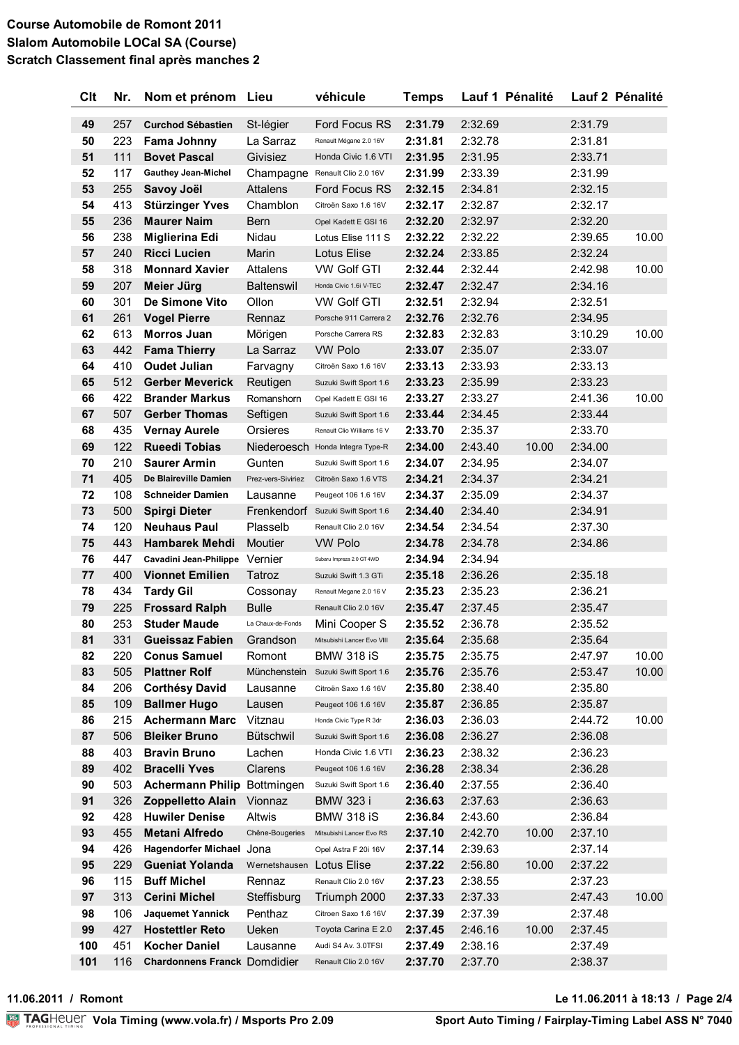| <b>Clt</b> | Nr.        | Nom et prénom Lieu                                 |                    | véhicule                                         | <b>Temps</b>       |                    | Lauf 1 Pénalité |                    | Lauf 2 Pénalité |
|------------|------------|----------------------------------------------------|--------------------|--------------------------------------------------|--------------------|--------------------|-----------------|--------------------|-----------------|
| 49         | 257        | <b>Curchod Sébastien</b>                           | St-légier          | Ford Focus RS                                    | 2:31.79            | 2:32.69            |                 | 2:31.79            |                 |
| 50         | 223        | <b>Fama Johnny</b>                                 | La Sarraz          | Renault Mégane 2.0 16V                           | 2:31.81            | 2:32.78            |                 | 2:31.81            |                 |
| 51         | 111        | <b>Bovet Pascal</b>                                | Givisiez           | Honda Civic 1.6 VTI                              | 2:31.95            | 2:31.95            |                 | 2:33.71            |                 |
| 52         | 117        | <b>Gauthey Jean-Michel</b>                         | Champagne          | Renault Clio 2.0 16V                             | 2:31.99            | 2:33.39            |                 | 2:31.99            |                 |
| 53         | 255        | Savoy Joël                                         | <b>Attalens</b>    | Ford Focus RS                                    | 2:32.15            | 2:34.81            |                 | 2:32.15            |                 |
| 54         | 413        | <b>Stürzinger Yves</b>                             | Chamblon           | Citroën Saxo 1.6 16V                             | 2:32.17            | 2:32.87            |                 | 2:32.17            |                 |
| 55         | 236        | <b>Maurer Naim</b>                                 | <b>Bern</b>        | Opel Kadett E GSI 16                             | 2:32.20            | 2:32.97            |                 | 2:32.20            |                 |
| 56         | 238        | Miglierina Edi                                     | Nidau              | Lotus Elise 111 S                                | 2:32.22            | 2:32.22            |                 | 2:39.65            | 10.00           |
| 57         | 240        | <b>Ricci Lucien</b>                                | Marin              | Lotus Elise                                      | 2:32.24            | 2:33.85            |                 | 2:32.24            |                 |
| 58         | 318        | <b>Monnard Xavier</b>                              | <b>Attalens</b>    | <b>VW Golf GTI</b>                               | 2:32.44            | 2:32.44            |                 | 2:42.98            | 10.00           |
| 59         | 207        | Meier Jürg                                         | <b>Baltenswil</b>  | Honda Civic 1.6i V-TEC                           | 2:32.47            | 2:32.47            |                 | 2:34.16            |                 |
| 60         | 301        | De Simone Vito                                     | Ollon              | <b>VW Golf GTI</b>                               | 2:32.51            | 2:32.94            |                 | 2:32.51            |                 |
| 61         | 261        | <b>Vogel Pierre</b>                                | Rennaz             | Porsche 911 Carrera 2                            | 2:32.76            | 2:32.76            |                 | 2:34.95            |                 |
| 62         | 613        | <b>Morros Juan</b>                                 | Mörigen            | Porsche Carrera RS                               | 2:32.83            | 2:32.83            |                 | 3:10.29            | 10.00           |
| 63         | 442        | <b>Fama Thierry</b>                                | La Sarraz          | <b>VW Polo</b>                                   | 2:33.07            | 2:35.07            |                 | 2:33.07            |                 |
| 64         | 410        | <b>Oudet Julian</b>                                | Farvagny           | Citroën Saxo 1.6 16V                             | 2:33.13            | 2:33.93            |                 | 2:33.13            |                 |
| 65         | 512        | <b>Gerber Meverick</b>                             | Reutigen           | Suzuki Swift Sport 1.6                           | 2:33.23            | 2:35.99            |                 | 2:33.23            |                 |
| 66         | 422        | <b>Brander Markus</b>                              | Romanshorn         | Opel Kadett E GSI 16                             | 2:33.27            | 2:33.27            |                 | 2:41.36            | 10.00           |
| 67         | 507        | <b>Gerber Thomas</b>                               | Seftigen           | Suzuki Swift Sport 1.6                           | 2:33.44            | 2:34.45            |                 | 2:33.44            |                 |
| 68         | 435        | <b>Vernay Aurele</b>                               | Orsieres           | Renault Clio Williams 16 V                       | 2:33.70            | 2:35.37            |                 | 2:33.70            |                 |
| 69         | 122        | <b>Rueedi Tobias</b>                               | Niederoesch        | Honda Integra Type-R                             | 2:34.00            | 2:43.40            | 10.00           | 2:34.00            |                 |
| 70         | 210        | <b>Saurer Armin</b>                                | Gunten             | Suzuki Swift Sport 1.6                           | 2:34.07            | 2:34.95            |                 | 2:34.07            |                 |
| 71         | 405        | De Blaireville Damien                              | Prez-vers-Siviriez | Citroën Saxo 1.6 VTS                             | 2:34.21            | 2:34.37            |                 | 2:34.21            |                 |
| 72         | 108        | <b>Schneider Damien</b>                            | Lausanne           | Peugeot 106 1.6 16V                              | 2:34.37            | 2:35.09            |                 | 2:34.37            |                 |
| 73         | 500        | <b>Spirgi Dieter</b>                               |                    | Frenkendorf Suzuki Swift Sport 1.6               | 2:34.40            | 2:34.40            |                 | 2:34.91            |                 |
| 74         | 120        | <b>Neuhaus Paul</b>                                | Plasselb           | Renault Clio 2.0 16V                             | 2:34.54            | 2:34.54            |                 | 2:37.30            |                 |
| 75         | 443        | <b>Hambarek Mehdi</b>                              | <b>Moutier</b>     | <b>VW Polo</b>                                   | 2:34.78            | 2:34.78            |                 | 2:34.86            |                 |
| 76         | 447        | Cavadini Jean-Philippe                             | Vernier            | Subaru Impreza 2.0 GT 4WD                        | 2:34.94            | 2:34.94            |                 |                    |                 |
| 77         | 400        | <b>Vionnet Emilien</b>                             | Tatroz             | Suzuki Swift 1.3 GTi                             | 2:35.18            | 2:36.26            |                 | 2:35.18            |                 |
| 78         | 434        | <b>Tardy Gil</b>                                   | Cossonay           | Renault Megane 2.0 16 V                          | 2:35.23            | 2:35.23            |                 | 2:36.21            |                 |
| 79         | 225        | <b>Frossard Ralph</b>                              | <b>Bulle</b>       | Renault Clio 2.0 16V                             | 2:35.47            | 2:37.45            |                 | 2:35.47            |                 |
| 80         | 253        | <b>Studer Maude</b>                                | La Chaux-de-Fonds  | Mini Cooper S                                    | 2:35.52            | 2:36.78            |                 | 2:35.52            |                 |
| 81         | 331        | <b>Gueissaz Fabien</b>                             | Grandson           | Mitsubishi Lancer Evo VIII                       | 2:35.64            | 2:35.68            |                 | 2:35.64            |                 |
| 82         | 220        | <b>Conus Samuel</b>                                | Romont             | <b>BMW 318 iS</b>                                | 2:35.75            | 2:35.75            |                 | 2:47.97            | 10.00           |
| 83         | 505        | <b>Plattner Rolf</b>                               | Münchenstein       | Suzuki Swift Sport 1.6                           | 2:35.76            | 2:35.76            |                 | 2:53.47            | 10.00           |
| 84         | 206        | <b>Corthésy David</b>                              | Lausanne           | Citroën Saxo 1.6 16V                             | 2:35.80            | 2:38.40            |                 | 2:35.80            |                 |
| 85         | 109        | <b>Ballmer Hugo</b>                                | Lausen             | Peugeot 106 1.6 16V                              | 2:35.87            | 2:36.85            |                 | 2:35.87            |                 |
| 86         | 215        | <b>Achermann Marc</b>                              | Vitznau            | Honda Civic Type R 3dr                           | 2:36.03            | 2:36.03            |                 | 2:44.72            | 10.00           |
| 87         | 506        | <b>Bleiker Bruno</b>                               | Bütschwil          | Suzuki Swift Sport 1.6                           | 2:36.08            | 2:36.27            |                 | 2:36.08            |                 |
| 88         | 403        | <b>Bravin Bruno</b>                                | Lachen             | Honda Civic 1.6 VTI                              | 2:36.23            | 2:38.32            |                 | 2:36.23            |                 |
| 89         | 402        | <b>Bracelli Yves</b>                               | Clarens            | Peugeot 106 1.6 16V                              | 2:36.28            | 2:38.34            |                 | 2:36.28            |                 |
| 90         | 503        | <b>Achermann Philip</b>                            | Bottmingen         | Suzuki Swift Sport 1.6                           | 2:36.40            | 2:37.55            |                 | 2:36.40            |                 |
| 91         | 326        | <b>Zoppelletto Alain</b>                           | Vionnaz            | <b>BMW 323 i</b><br><b>BMW 318 iS</b>            | 2:36.63            | 2:37.63            |                 | 2:36.63            |                 |
| 92<br>93   | 428<br>455 | <b>Huwiler Denise</b><br><b>Metani Alfredo</b>     | Altwis             |                                                  | 2:36.84            | 2:43.60            |                 | 2:36.84            |                 |
| 94         | 426        |                                                    | Chêne-Bougeries    | Mitsubishi Lancer Evo RS<br>Opel Astra F 20i 16V | 2:37.10            | 2:42.70            | 10.00           | 2:37.10<br>2:37.14 |                 |
| 95         | 229        | Hagendorfer Michael Jona<br><b>Gueniat Yolanda</b> | Wernetshausen      | Lotus Elise                                      | 2:37.14<br>2:37.22 | 2:39.63<br>2:56.80 | 10.00           | 2:37.22            |                 |
| 96         | 115        | <b>Buff Michel</b>                                 | Rennaz             | Renault Clio 2.0 16V                             | 2:37.23            | 2:38.55            |                 | 2:37.23            |                 |
| 97         | 313        | <b>Cerini Michel</b>                               | Steffisburg        | Triumph 2000                                     | 2:37.33            | 2:37.33            |                 | 2:47.43            | 10.00           |
| 98         | 106        | <b>Jaquemet Yannick</b>                            | Penthaz            | Citroen Saxo 1.6 16V                             | 2:37.39            | 2:37.39            |                 | 2:37.48            |                 |
| 99         | 427        | <b>Hostettler Reto</b>                             | Ueken              | Toyota Carina E 2.0                              | 2:37.45            | 2:46.16            | 10.00           | 2:37.45            |                 |
| 100        | 451        | <b>Kocher Daniel</b>                               | Lausanne           | Audi S4 Av. 3.0TFSI                              | 2:37.49            | 2:38.16            |                 | 2:37.49            |                 |
| 101        | 116        | <b>Chardonnens Franck Domdidier</b>                |                    | Renault Clio 2.0 16V                             | 2:37.70            | 2:37.70            |                 | 2:38.37            |                 |
|            |            |                                                    |                    |                                                  |                    |                    |                 |                    |                 |

11.06.2011 / Romont

Le 11.06.2011 à 18:13 / Page 2/4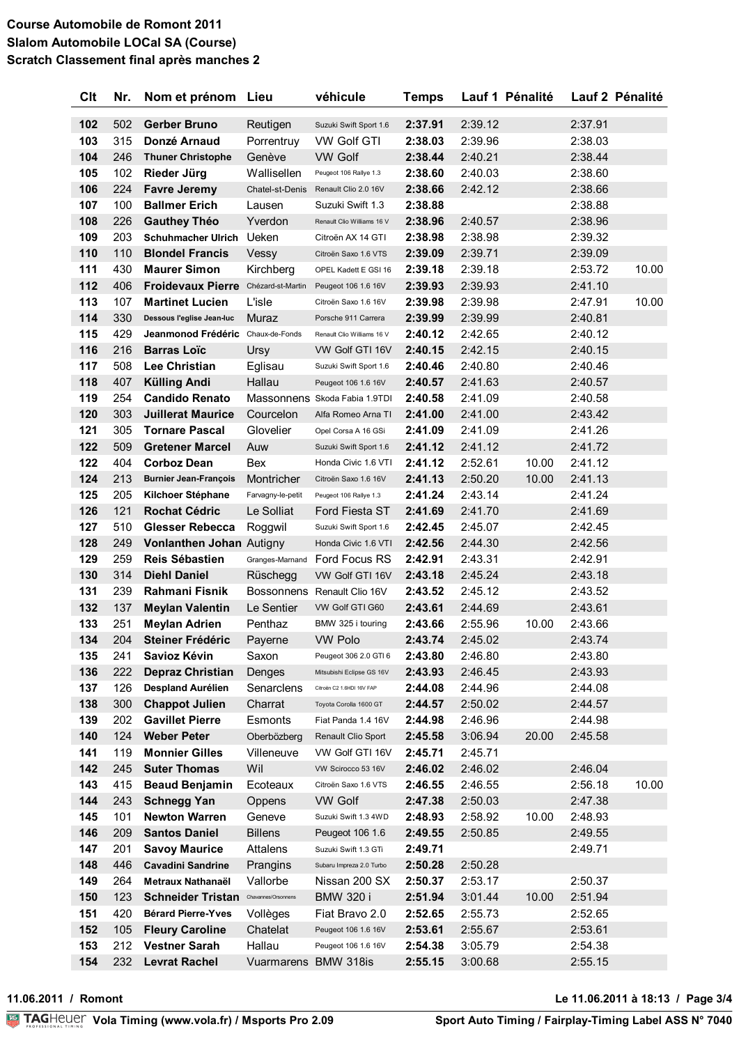| <b>Clt</b> | Nr.        | Nom et prénom Lieu                               |                             | véhicule                                         | <b>Temps</b>       |                    | Lauf 1 Pénalité |         | Lauf 2 Pénalité |
|------------|------------|--------------------------------------------------|-----------------------------|--------------------------------------------------|--------------------|--------------------|-----------------|---------|-----------------|
| 102        | 502        | <b>Gerber Bruno</b>                              | Reutigen                    | Suzuki Swift Sport 1.6                           | 2:37.91            | 2:39.12            |                 | 2:37.91 |                 |
| 103        | 315        | Donzé Arnaud                                     | Porrentruy                  | <b>VW Golf GTI</b>                               | 2:38.03            | 2:39.96            |                 | 2:38.03 |                 |
| 104        | 246        | <b>Thuner Christophe</b>                         | Genève                      | <b>VW Golf</b>                                   | 2:38.44            | 2:40.21            |                 | 2:38.44 |                 |
| 105        | 102        | Rieder Jürg                                      | Wallisellen                 | Peugeot 106 Rallye 1.3                           | 2:38.60            | 2:40.03            |                 | 2:38.60 |                 |
| 106        | 224        | <b>Favre Jeremy</b>                              | Chatel-st-Denis             | Renault Clio 2.0 16V                             | 2:38.66            | 2:42.12            |                 | 2:38.66 |                 |
| 107        | 100        | <b>Ballmer Erich</b>                             | Lausen                      | Suzuki Swift 1.3                                 | 2:38.88            |                    |                 | 2:38.88 |                 |
| 108        | 226        | <b>Gauthey Théo</b>                              | Yverdon                     | Renault Clio Williams 16 V                       | 2:38.96            | 2:40.57            |                 | 2:38.96 |                 |
| 109        | 203        | <b>Schuhmacher Ulrich</b>                        | Ueken                       | Citroën AX 14 GTI                                | 2:38.98            | 2:38.98            |                 | 2:39.32 |                 |
| 110        | 110        | <b>Blondel Francis</b>                           | Vessy                       | Citroën Saxo 1.6 VTS                             | 2:39.09            | 2:39.71            |                 | 2:39.09 |                 |
| 111        | 430        | <b>Maurer Simon</b>                              | Kirchberg                   | OPEL Kadett E GSI 16                             | 2:39.18            | 2:39.18            |                 | 2:53.72 | 10.00           |
| 112        | 406        | Froidevaux Pierre Chézard-st-Martin              |                             | Peugeot 106 1.6 16V                              | 2:39.93            | 2:39.93            |                 | 2:41.10 |                 |
| 113        | 107        | <b>Martinet Lucien</b>                           | L'isle                      | Citroën Saxo 1.6 16V                             | 2:39.98            | 2:39.98            |                 | 2:47.91 | 10.00           |
| 114        | 330        | Dessous l'eglise Jean-luc                        | Muraz                       | Porsche 911 Carrera                              | 2:39.99            | 2:39.99            |                 | 2:40.81 |                 |
| 115        | 429        | Jeanmonod Frédéric Chaux-de-Fonds                |                             | Renault Clio Williams 16 V                       | 2:40.12            | 2:42.65            |                 | 2:40.12 |                 |
| 116        | 216        | <b>Barras Loïc</b>                               | Ursy                        | VW Golf GTI 16V                                  | 2:40.15            | 2:42.15            |                 | 2:40.15 |                 |
| 117        | 508        | <b>Lee Christian</b>                             | Eglisau                     | Suzuki Swift Sport 1.6                           | 2:40.46            | 2:40.80            |                 | 2:40.46 |                 |
| 118        | 407        | <b>Külling Andi</b>                              | Hallau                      | Peugeot 106 1.6 16V                              | 2:40.57            | 2:41.63            |                 | 2:40.57 |                 |
| 119        | 254        | <b>Candido Renato</b>                            |                             | Massonnens Skoda Fabia 1.9TDI                    | 2:40.58            | 2:41.09            |                 | 2:40.58 |                 |
| 120        | 303        | <b>Juillerat Maurice</b>                         | Courcelon                   | Alfa Romeo Arna TI                               | 2:41.00            | 2:41.00            |                 | 2:43.42 |                 |
| 121        | 305        | <b>Tornare Pascal</b>                            | Glovelier                   | Opel Corsa A 16 GSi                              | 2:41.09            | 2:41.09            |                 | 2:41.26 |                 |
| 122        | 509        | <b>Gretener Marcel</b>                           | Auw                         | Suzuki Swift Sport 1.6                           | 2:41.12            | 2:41.12            |                 | 2:41.72 |                 |
| 122        | 404        | <b>Corboz Dean</b>                               | Bex                         | Honda Civic 1.6 VTI                              | 2:41.12            | 2:52.61            | 10.00           | 2:41.12 |                 |
| 124        | 213        | <b>Burnier Jean-François</b>                     | Montricher                  | Citroën Saxo 1.6 16V                             | 2:41.13            | 2:50.20            | 10.00           | 2:41.13 |                 |
| 125        | 205        | Kilchoer Stéphane                                | Farvagny-le-petit           | Peugeot 106 Rallye 1.3                           | 2:41.24            | 2:43.14            |                 | 2:41.24 |                 |
| 126        | 121        | <b>Rochat Cédric</b>                             | Le Solliat                  | <b>Ford Fiesta ST</b>                            | 2:41.69            | 2:41.70            |                 | 2:41.69 |                 |
| 127        | 510        | <b>Glesser Rebecca</b>                           | Roggwil                     | Suzuki Swift Sport 1.6                           | 2:42.45            | 2:45.07            |                 | 2:42.45 |                 |
| 128        | 249        | Vonlanthen Johan Autigny                         |                             | Honda Civic 1.6 VTI                              | 2:42.56            | 2:44.30            |                 | 2:42.56 |                 |
| 129        | 259        | <b>Reis Sébastien</b>                            | Granges-Marnand             | Ford Focus RS                                    | 2:42.91            | 2:43.31            |                 | 2:42.91 |                 |
| 130        | 314        | <b>Diehl Daniel</b>                              | Rüschegg                    | VW Golf GTI 16V                                  | 2:43.18            | 2:45.24            |                 | 2:43.18 |                 |
| 131        | 239        | Rahmani Fisnik                                   |                             | Bossonnens Renault Clio 16V                      | 2:43.52            | 2:45.12            |                 | 2:43.52 |                 |
| 132        | 137        | <b>Meylan Valentin</b>                           | Le Sentier                  | VW Golf GTI G60                                  | 2:43.61            | 2:44.69            |                 | 2:43.61 |                 |
| 133        | 251        | <b>Meylan Adrien</b>                             | Penthaz                     | BMW 325 i touring                                | 2:43.66            | 2:55.96            | 10.00           | 2:43.66 |                 |
| 134        | 204        | <b>Steiner Frédéric</b>                          | Paverne                     | <b>VW Polo</b>                                   | 2:43.74            | 2:45.02            |                 | 2:43.74 |                 |
| 135        | 241        | Savioz Kévin                                     | Saxon                       | Peugeot 306 2.0 GTI 6                            | 2:43.80            | 2:46.80            |                 | 2:43.80 |                 |
| 136        | 222        | <b>Depraz Christian</b>                          | Denges                      | Mitsubishi Eclipse GS 16V                        | 2:43.93            | 2:46.45            |                 | 2:43.93 |                 |
| 137        | 126        | Despland Aurélien                                | Senarclens                  | Citroën C2 1.6HDI 16V FAP                        | 2:44.08            | 2:44.96            |                 | 2:44.08 |                 |
| 138        | 300        | <b>Chappot Julien</b>                            | Charrat                     | Toyota Corolla 1600 GT                           | 2:44.57            | 2:50.02            |                 | 2:44.57 |                 |
| 139        | 202        | <b>Gavillet Pierre</b>                           | Esmonts                     | Fiat Panda 1.4 16V                               | 2:44.98            | 2:46.96            |                 | 2:44.98 |                 |
| 140        | 124        | <b>Weber Peter</b>                               | Oberbözberg                 | Renault Clio Sport                               | 2:45.58            | 3:06.94            | 20.00           | 2:45.58 |                 |
| 141        | 119        | <b>Monnier Gilles</b>                            | Villeneuve                  | VW Golf GTI 16V                                  | 2:45.71            | 2:45.71            |                 |         |                 |
| 142        | 245        | <b>Suter Thomas</b>                              | Wil                         | VW Scirocco 53 16V                               | 2:46.02            | 2:46.02            |                 | 2:46.04 |                 |
| 143        | 415        | <b>Beaud Benjamin</b>                            | Ecoteaux                    | Citroën Saxo 1.6 VTS                             | 2:46.55            | 2:46.55            |                 | 2:56.18 | 10.00           |
| 144        | 243        | <b>Schnegg Yan</b>                               | Oppens                      | <b>VW Golf</b>                                   | 2:47.38            | 2:50.03            |                 | 2:47.38 |                 |
| 145        | 101        | <b>Newton Warren</b>                             | Geneve                      | Suzuki Swift 1.3 4WD                             | 2:48.93            | 2:58.92            | 10.00           | 2:48.93 |                 |
| 146        | 209        | <b>Santos Daniel</b>                             | <b>Billens</b>              | Peugeot 106 1.6                                  | 2:49.55            | 2:50.85            |                 | 2:49.55 |                 |
| 147<br>148 | 201<br>446 | <b>Savoy Maurice</b><br><b>Cavadini Sandrine</b> | <b>Attalens</b><br>Prangins | Suzuki Swift 1.3 GTi<br>Subaru Impreza 2.0 Turbo | 2:49.71<br>2:50.28 | 2:50.28            |                 | 2:49.71 |                 |
| 149        | 264        | Metraux Nathanaël                                | Vallorbe                    | Nissan 200 SX                                    |                    |                    |                 | 2:50.37 |                 |
| 150        | 123        | <b>Schneider Tristan</b>                         | Chavannes/Orsonnens         | <b>BMW 320 i</b>                                 | 2:50.37<br>2:51.94 | 2:53.17<br>3:01.44 | 10.00           | 2:51.94 |                 |
| 151        | 420        | <b>Bérard Pierre-Yves</b>                        | Vollèges                    | Fiat Bravo 2.0                                   | 2:52.65            | 2:55.73            |                 | 2:52.65 |                 |
| 152        | 105        | <b>Fleury Caroline</b>                           | Chatelat                    | Peugeot 106 1.6 16V                              | 2:53.61            | 2:55.67            |                 | 2:53.61 |                 |
| 153        | 212        | <b>Vestner Sarah</b>                             | Hallau                      | Peugeot 106 1.6 16V                              | 2:54.38            | 3:05.79            |                 | 2:54.38 |                 |
| 154        | 232        | <b>Levrat Rachel</b>                             | Vuarmarens                  | <b>BMW 318is</b>                                 | 2:55.15            | 3:00.68            |                 | 2:55.15 |                 |
|            |            |                                                  |                             |                                                  |                    |                    |                 |         |                 |

11.06.2011 / Romont

#### Le 11.06.2011 à 18:13 / Page 3/4